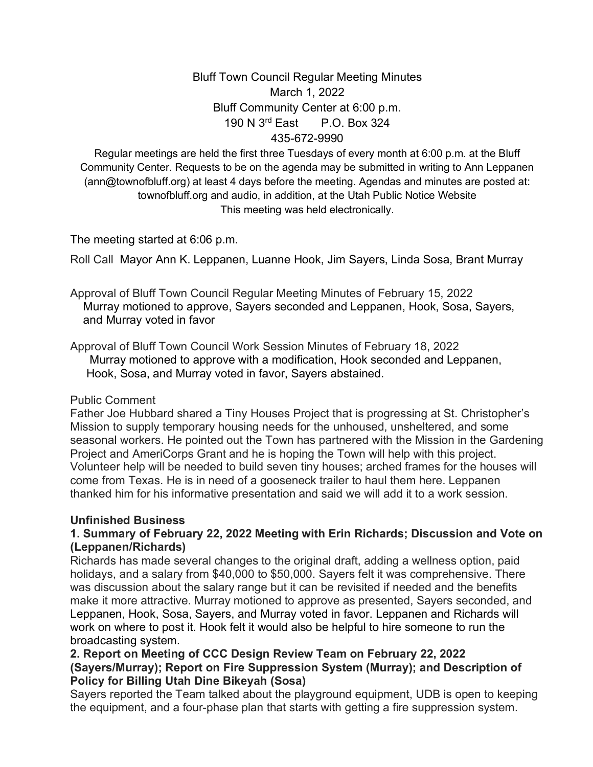# Bluff Town Council Regular Meeting Minutes March 1, 2022 Bluff Community Center at 6:00 p.m. 190 N 3rd East P.O. Box 324 435-672-9990

Regular meetings are held the first three Tuesdays of every month at 6:00 p.m. at the Bluff Community Center. Requests to be on the agenda may be submitted in writing to Ann Leppanen (ann@townofbluff.org) at least 4 days before the meeting. Agendas and minutes are posted at: townofbluff.org and audio, in addition, at the Utah Public Notice Website This meeting was held electronically.

The meeting started at 6:06 p.m.

Roll Call Mayor Ann K. Leppanen, Luanne Hook, Jim Sayers, Linda Sosa, Brant Murray

Approval of Bluff Town Council Regular Meeting Minutes of February 15, 2022 Murray motioned to approve, Sayers seconded and Leppanen, Hook, Sosa, Sayers, and Murray voted in favor

Approval of Bluff Town Council Work Session Minutes of February 18, 2022 Murray motioned to approve with a modification, Hook seconded and Leppanen, Hook, Sosa, and Murray voted in favor, Sayers abstained.

#### Public Comment

Father Joe Hubbard shared a Tiny Houses Project that is progressing at St. Christopher's Mission to supply temporary housing needs for the unhoused, unsheltered, and some seasonal workers. He pointed out the Town has partnered with the Mission in the Gardening Project and AmeriCorps Grant and he is hoping the Town will help with this project. Volunteer help will be needed to build seven tiny houses; arched frames for the houses will come from Texas. He is in need of a gooseneck trailer to haul them here. Leppanen thanked him for his informative presentation and said we will add it to a work session.

# **Unfinished Business**

## **1. Summary of February 22, 2022 Meeting with Erin Richards; Discussion and Vote on (Leppanen/Richards)**

Richards has made several changes to the original draft, adding a wellness option, paid holidays, and a salary from \$40,000 to \$50,000. Sayers felt it was comprehensive. There was discussion about the salary range but it can be revisited if needed and the benefits make it more attractive. Murray motioned to approve as presented, Sayers seconded, and Leppanen, Hook, Sosa, Sayers, and Murray voted in favor. Leppanen and Richards will work on where to post it. Hook felt it would also be helpful to hire someone to run the broadcasting system.

## **2. Report on Meeting of CCC Design Review Team on February 22, 2022 (Sayers/Murray); Report on Fire Suppression System (Murray); and Description of Policy for Billing Utah Dine Bikeyah (Sosa)**

Sayers reported the Team talked about the playground equipment, UDB is open to keeping the equipment, and a four-phase plan that starts with getting a fire suppression system.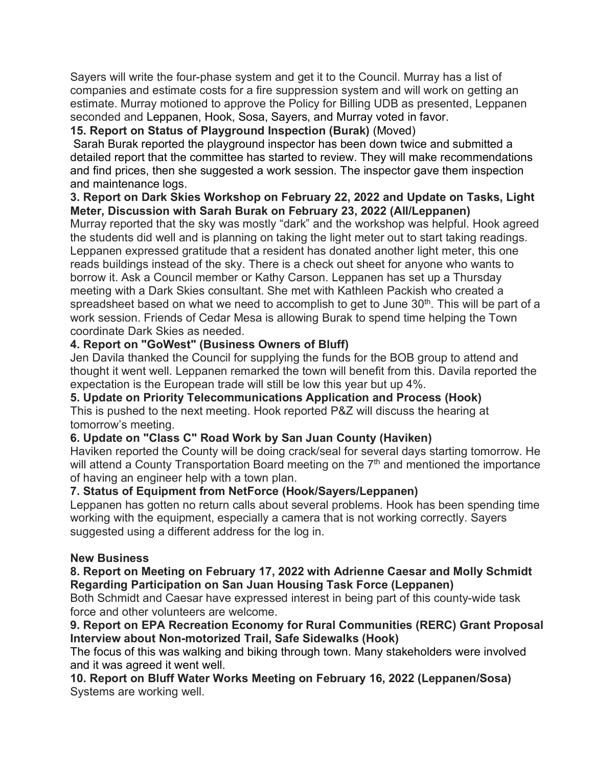Sayers will write the four-phase system and get it to the Council. Murray has a list of companies and estimate costs for a fire suppression system and will work on getting an estimate. Murray motioned to approve the Policy for Billing UDB as presented, Leppanen seconded and Leppanen, Hook, Sosa, Sayers, and Murray voted in favor.

# **15. Report on Status of Playground Inspection (Burak)** (Moved)

Sarah Burak reported the playground inspector has been down twice and submitted a detailed report that the committee has started to review. They will make recommendations and find prices, then she suggested a work session. The inspector gave them inspection and maintenance logs.

### **3. Report on Dark Skies Workshop on February 22, 2022 and Update on Tasks, Light Meter, Discussion with Sarah Burak on February 23, 2022 (All/Leppanen)**

Murray reported that the sky was mostly "dark" and the workshop was helpful. Hook agreed the students did well and is planning on taking the light meter out to start taking readings. Leppanen expressed gratitude that a resident has donated another light meter, this one reads buildings instead of the sky. There is a check out sheet for anyone who wants to borrow it. Ask a Council member or Kathy Carson. Leppanen has set up a Thursday meeting with a Dark Skies consultant. She met with Kathleen Packish who created a spreadsheet based on what we need to accomplish to get to June  $30<sup>th</sup>$ . This will be part of a work session. Friends of Cedar Mesa is allowing Burak to spend time helping the Town coordinate Dark Skies as needed.

## **4. Report on "GoWest" (Business Owners of Bluff)**

Jen Davila thanked the Council for supplying the funds for the BOB group to attend and thought it went well. Leppanen remarked the town will benefit from this. Davila reported the expectation is the European trade will still be low this year but up 4%.

#### **5. Update on Priority Telecommunications Application and Process (Hook)**

This is pushed to the next meeting. Hook reported P&Z will discuss the hearing at tomorrow's meeting.

#### **6. Update on "Class C" Road Work by San Juan County (Haviken)**

Haviken reported the County will be doing crack/seal for several days starting tomorrow. He will attend a County Transportation Board meeting on the  $7<sup>th</sup>$  and mentioned the importance of having an engineer help with a town plan.

#### **7. Status of Equipment from NetForce (Hook/Sayers/Leppanen)**

Leppanen has gotten no return calls about several problems. Hook has been spending time working with the equipment, especially a camera that is not working correctly. Sayers suggested using a different address for the log in.

#### **New Business**

#### **8. Report on Meeting on February 17, 2022 with Adrienne Caesar and Molly Schmidt Regarding Participation on San Juan Housing Task Force (Leppanen)**

Both Schmidt and Caesar have expressed interest in being part of this county-wide task force and other volunteers are welcome.

#### **9. Report on EPA Recreation Economy for Rural Communities (RERC) Grant Proposal Interview about Non-motorized Trail, Safe Sidewalks (Hook)**

The focus of this was walking and biking through town. Many stakeholders were involved and it was agreed it went well.

**10. Report on Bluff Water Works Meeting on February 16, 2022 (Leppanen/Sosa)** Systems are working well.